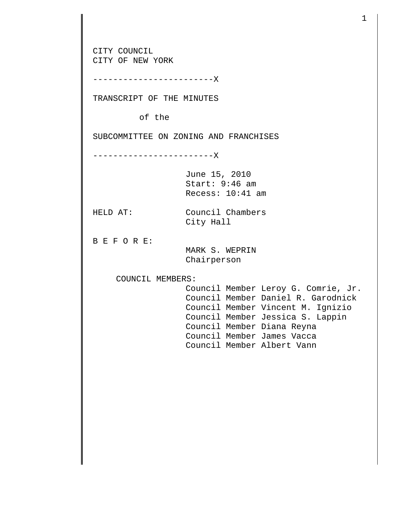CITY COUNCIL CITY OF NEW YORK ------------------------X TRANSCRIPT OF THE MINUTES of the SUBCOMMITTEE ON ZONING AND FRANCHISES ------------------------X June 15, 2010 Start: 9:46 am Recess: 10:41 am HELD AT: Council Chambers City Hall B E F O R E: MARK S. WEPRIN Chairperson COUNCIL MEMBERS: Council Member Leroy G. Comrie, Jr. Council Member Daniel R. Garodnick Council Member Vincent M. Ignizio Council Member Jessica S. Lappin Council Member Diana Reyna Council Member James Vacca Council Member Albert Vann

1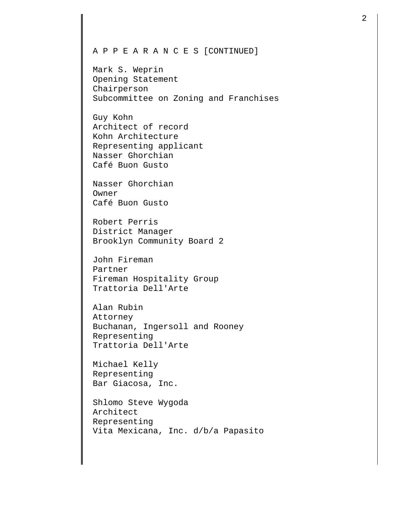## A P P E A R A N C E S [CONTINUED]

Mark S. Weprin Opening Statement Chairperson Subcommittee on Zoning and Franchises

Guy Kohn Architect of record Kohn Architecture Representing applicant Nasser Ghorchian Café Buon Gusto

Nasser Ghorchian Owner Café Buon Gusto

Robert Perris District Manager Brooklyn Community Board 2

John Fireman Partner Fireman Hospitality Group Trattoria Dell'Arte

Alan Rubin Attorney Buchanan, Ingersoll and Rooney Representing Trattoria Dell'Arte

Michael Kelly Representing Bar Giacosa, Inc.

Shlomo Steve Wygoda Architect Representing Vita Mexicana, Inc. d/b/a Papasito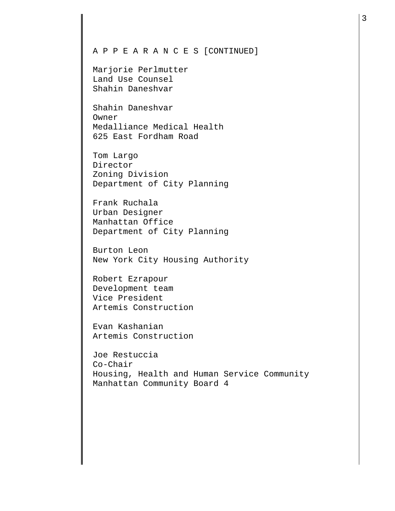## A P P E A R A N C E S [CONTINUED]

Marjorie Perlmutter Land Use Counsel Shahin Daneshvar

Shahin Daneshvar Owner Medalliance Medical Health 625 East Fordham Road

Tom Largo Director Zoning Division Department of City Planning

Frank Ruchala Urban Designer Manhattan Office Department of City Planning

Burton Leon New York City Housing Authority

Robert Ezrapour Development team Vice President Artemis Construction

Evan Kashanian Artemis Construction

Joe Restuccia Co-Chair Housing, Health and Human Service Community Manhattan Community Board 4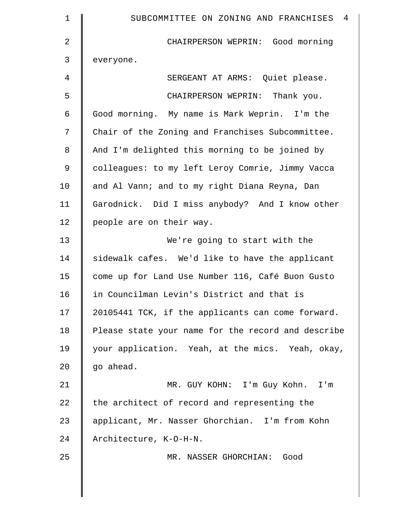| 1              | SUBCOMMITTEE ON ZONING AND FRANCHISES 4            |
|----------------|----------------------------------------------------|
| $\overline{2}$ | CHAIRPERSON WEPRIN: Good morning                   |
| 3              | everyone.                                          |
| 4              | SERGEANT AT ARMS: Quiet please.                    |
| 5              | CHAIRPERSON WEPRIN: Thank you.                     |
| 6              | Good morning. My name is Mark Weprin. I'm the      |
| 7              | Chair of the Zoning and Franchises Subcommittee.   |
| 8              | And I'm delighted this morning to be joined by     |
| $\mathcal{G}$  | colleagues: to my left Leroy Comrie, Jimmy Vacca   |
| 10             | and Al Vann; and to my right Diana Reyna, Dan      |
| 11             | Garodnick. Did I miss anybody? And I know other    |
| 12             | people are on their way.                           |
| 13             | We're going to start with the                      |
| 14             | sidewalk cafes. We'd like to have the applicant    |
| 15             | come up for Land Use Number 116, Café Buon Gusto   |
| 16             | in Councilman Levin's District and that is         |
| 17             | 20105441 TCK, if the applicants can come forward.  |
| 18             | Please state your name for the record and describe |
| 19             | your application. Yeah, at the mics. Yeah, okay,   |
| 20             | go ahead.                                          |
| 21             | MR. GUY KOHN: I'm Guy Kohn. I'm                    |
| 22             | the architect of record and representing the       |
| 23             | applicant, Mr. Nasser Ghorchian. I'm from Kohn     |
| 24             | Architecture, K-O-H-N.                             |
| 25             | MR. NASSER GHORCHIAN: Good                         |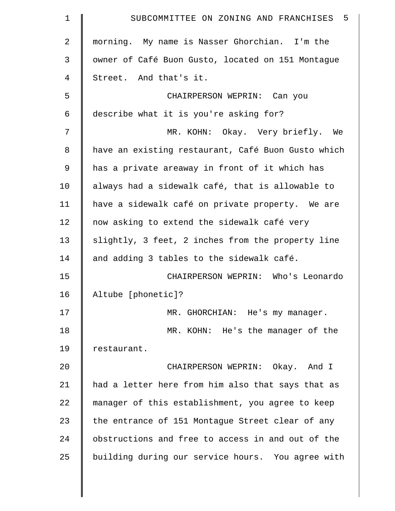| 1  | 5<br>SUBCOMMITTEE ON ZONING AND FRANCHISES         |
|----|----------------------------------------------------|
| 2  | morning. My name is Nasser Ghorchian. I'm the      |
| 3  | owner of Café Buon Gusto, located on 151 Montague  |
| 4  | Street. And that's it.                             |
| 5  | CHAIRPERSON WEPRIN: Can you                        |
| 6  | describe what it is you're asking for?             |
| 7  | MR. KOHN: Okay. Very briefly. We                   |
| 8  | have an existing restaurant, Café Buon Gusto which |
| 9  | has a private areaway in front of it which has     |
| 10 | always had a sidewalk café, that is allowable to   |
| 11 | have a sidewalk café on private property. We are   |
| 12 | now asking to extend the sidewalk café very        |
| 13 | slightly, 3 feet, 2 inches from the property line  |
| 14 | and adding 3 tables to the sidewalk café.          |
| 15 | CHAIRPERSON WEPRIN: Who's Leonardo                 |
| 16 | Altube [phonetic]?                                 |
| 17 | MR. GHORCHIAN: He's my manager.                    |
| 18 | MR. KOHN: He's the manager of the                  |
| 19 | restaurant.                                        |
| 20 | CHAIRPERSON WEPRIN: Okay. And I                    |
| 21 | had a letter here from him also that says that as  |
| 22 | manager of this establishment, you agree to keep   |
| 23 | the entrance of 151 Montague Street clear of any   |
| 24 | obstructions and free to access in and out of the  |
| 25 | building during our service hours. You agree with  |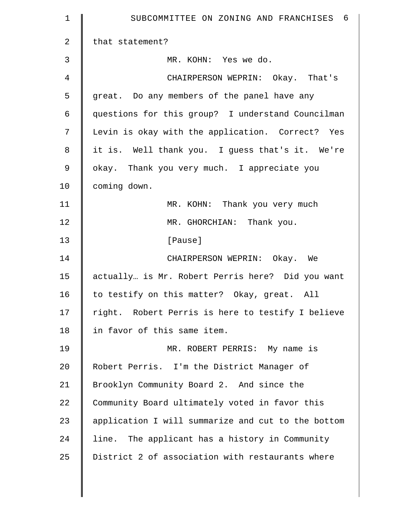| 1  | SUBCOMMITTEE ON ZONING AND FRANCHISES 6            |
|----|----------------------------------------------------|
| 2  | that statement?                                    |
| 3  | MR. KOHN: Yes we do.                               |
| 4  | CHAIRPERSON WEPRIN: Okay. That's                   |
| 5  | great. Do any members of the panel have any        |
| 6  | questions for this group? I understand Councilman  |
| 7  | Levin is okay with the application. Correct? Yes   |
| 8  | it is. Well thank you. I guess that's it. We're    |
| 9  | okay. Thank you very much. I appreciate you        |
| 10 | coming down.                                       |
| 11 | MR. KOHN: Thank you very much                      |
| 12 | MR. GHORCHIAN: Thank you.                          |
| 13 | [Pause]                                            |
| 14 | CHAIRPERSON WEPRIN: Okay. We                       |
| 15 | actually is Mr. Robert Perris here? Did you want   |
| 16 | to testify on this matter? Okay, great. All        |
| 17 | right. Robert Perris is here to testify I believe  |
| 18 | in favor of this same item.                        |
| 19 | MR. ROBERT PERRIS: My name is                      |
| 20 | Robert Perris. I'm the District Manager of         |
| 21 | Brooklyn Community Board 2. And since the          |
| 22 | Community Board ultimately voted in favor this     |
| 23 | application I will summarize and cut to the bottom |
| 24 | line. The applicant has a history in Community     |
| 25 | District 2 of association with restaurants where   |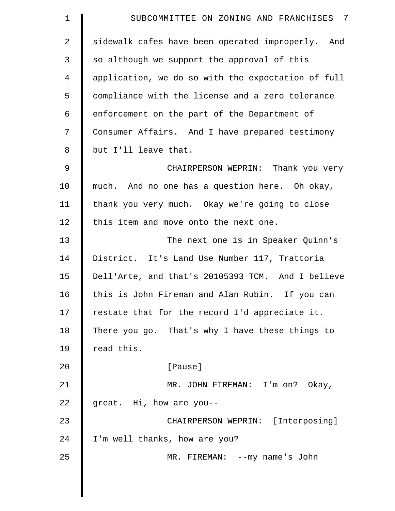| 1              | - 7<br>SUBCOMMITTEE ON ZONING AND FRANCHISES       |
|----------------|----------------------------------------------------|
| 2              | sidewalk cafes have been operated improperly. And  |
| 3              | so although we support the approval of this        |
| $\overline{4}$ | application, we do so with the expectation of full |
| 5              | compliance with the license and a zero tolerance   |
| 6              | enforcement on the part of the Department of       |
| 7              | Consumer Affairs. And I have prepared testimony    |
| 8              | but I'll leave that.                               |
| $\mathcal{G}$  | CHAIRPERSON WEPRIN: Thank you very                 |
| 10             | much. And no one has a question here. Oh okay,     |
| 11             | thank you very much. Okay we're going to close     |
| 12             | this item and move onto the next one.              |
| 13             | The next one is in Speaker Quinn's                 |
| 14             | District. It's Land Use Number 117, Trattoria      |
| 15             | Dell'Arte, and that's 20105393 TCM. And I believe  |
| 16             | this is John Fireman and Alan Rubin. If you can    |
| 17             | restate that for the record I'd appreciate it.     |
| 18             | There you go. That's why I have these things to    |
| 19             | read this.                                         |
| 20             | [Pause]                                            |
| 21             | MR. JOHN FIREMAN: I'm on? Okay,                    |
| 22             | great. Hi, how are you--                           |
| 23             | CHAIRPERSON WEPRIN: [Interposing]                  |
| 24             | I'm well thanks, how are you?                      |
| 25             | MR. FIREMAN: -- my name's John                     |
|                |                                                    |
|                |                                                    |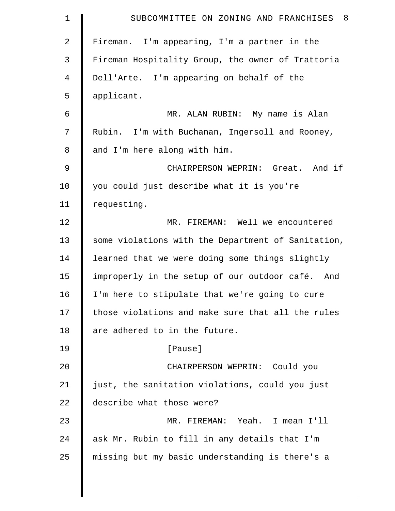| $\mathbf 1$    | - 8<br>SUBCOMMITTEE ON ZONING AND FRANCHISES       |
|----------------|----------------------------------------------------|
| $\overline{2}$ | Fireman. I'm appearing, I'm a partner in the       |
| 3              | Fireman Hospitality Group, the owner of Trattoria  |
| $\overline{4}$ | Dell'Arte. I'm appearing on behalf of the          |
| 5              | applicant.                                         |
| 6              | MR. ALAN RUBIN: My name is Alan                    |
| 7              | Rubin. I'm with Buchanan, Ingersoll and Rooney,    |
| 8              | and I'm here along with him.                       |
| $\mathsf 9$    | CHAIRPERSON WEPRIN: Great. And if                  |
| 10             | you could just describe what it is you're          |
| 11             | requesting.                                        |
| 12             | MR. FIREMAN: Well we encountered                   |
| 13             | some violations with the Department of Sanitation, |
| 14             | learned that we were doing some things slightly    |
| 15             | improperly in the setup of our outdoor café. And   |
| 16             | I'm here to stipulate that we're going to cure     |
| 17             | those violations and make sure that all the rules  |
| 18             | are adhered to in the future.                      |
| 19             | [Pause]                                            |
| 20             | CHAIRPERSON WEPRIN: Could you                      |
| 21             | just, the sanitation violations, could you just    |
| 22             | describe what those were?                          |
| 23             | MR. FIREMAN: Yeah. I mean I'll                     |
| 24             | ask Mr. Rubin to fill in any details that I'm      |
| 25             | missing but my basic understanding is there's a    |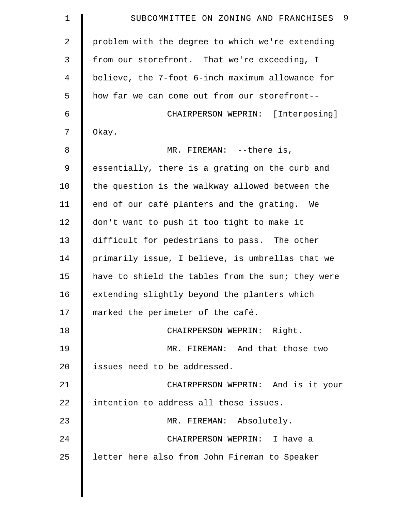| 9<br>SUBCOMMITTEE ON ZONING AND FRANCHISES        |
|---------------------------------------------------|
| problem with the degree to which we're extending  |
| from our storefront. That we're exceeding, I      |
| believe, the 7-foot 6-inch maximum allowance for  |
| how far we can come out from our storefront--     |
| CHAIRPERSON WEPRIN: [Interposing]                 |
| Okay.                                             |
| MR. FIREMAN: $--there$ is,                        |
| essentially, there is a grating on the curb and   |
| the question is the walkway allowed between the   |
| end of our café planters and the grating.<br>We   |
| don't want to push it too tight to make it        |
| difficult for pedestrians to pass. The other      |
| primarily issue, I believe, is umbrellas that we  |
| have to shield the tables from the sun; they were |
| extending slightly beyond the planters which      |
| marked the perimeter of the café.                 |
| CHAIRPERSON WEPRIN: Right.                        |
| MR. FIREMAN: And that those two                   |
| issues need to be addressed.                      |
| CHAIRPERSON WEPRIN: And is it your                |
| intention to address all these issues.            |
| MR. FIREMAN: Absolutely.                          |
| CHAIRPERSON WEPRIN: I have a                      |
| letter here also from John Fireman to Speaker     |
|                                                   |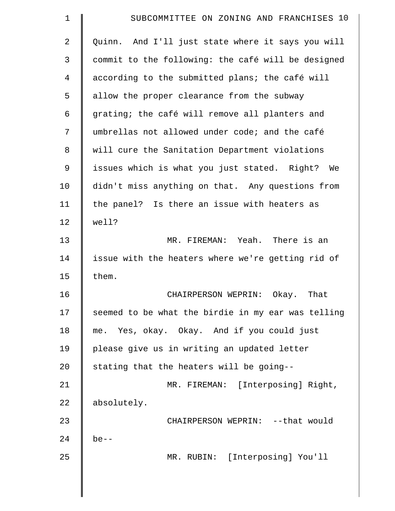| $\mathbf 1$    | SUBCOMMITTEE ON ZONING AND FRANCHISES 10           |
|----------------|----------------------------------------------------|
| $\overline{2}$ | Quinn. And I'll just state where it says you will  |
| 3              | commit to the following: the café will be designed |
| 4              | according to the submitted plans; the café will    |
| 5              | allow the proper clearance from the subway         |
| 6              | grating; the café will remove all planters and     |
| 7              | umbrellas not allowed under code; and the café     |
| 8              | will cure the Sanitation Department violations     |
| 9              | issues which is what you just stated. Right? We    |
| 10             | didn't miss anything on that. Any questions from   |
| 11             | the panel? Is there an issue with heaters as       |
| 12             | well?                                              |
| 13             | MR. FIREMAN: Yeah. There is an                     |
| 14             | issue with the heaters where we're getting rid of  |
| 15             | them.                                              |
| 16             | CHAIRPERSON WEPRIN:<br>Okay.<br>That               |
| 17             | seemed to be what the birdie in my ear was telling |
| 18             | me. Yes, okay. Okay. And if you could just         |
| 19             | please give us in writing an updated letter        |
| 20             | stating that the heaters will be going--           |
| 21             | MR. FIREMAN: [Interposing] Right,                  |
| 22             | absolutely.                                        |
| 23             | CHAIRPERSON WEPRIN: -- that would                  |
| 24             | $be--$                                             |
| 25             | MR. RUBIN: [Interposing] You'll                    |
|                |                                                    |
|                |                                                    |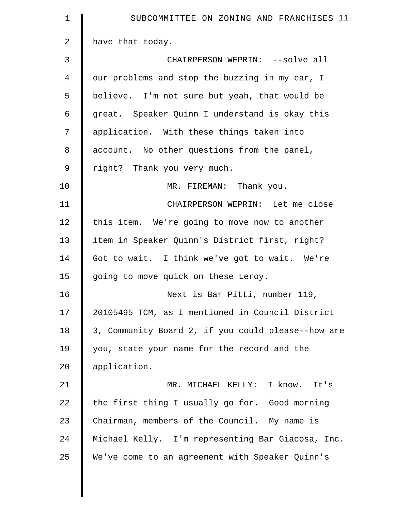| $\mathbf 1$  | SUBCOMMITTEE ON ZONING AND FRANCHISES 11           |
|--------------|----------------------------------------------------|
| $\mathbf{2}$ | have that today.                                   |
| 3            | CHAIRPERSON WEPRIN: --solve all                    |
| 4            | our problems and stop the buzzing in my ear, I     |
| 5            | believe. I'm not sure but yeah, that would be      |
| 6            | great. Speaker Quinn I understand is okay this     |
| 7            | application. With these things taken into          |
| 8            | account. No other questions from the panel,        |
| 9            | right? Thank you very much.                        |
| 10           | MR. FIREMAN: Thank you.                            |
| 11           | CHAIRPERSON WEPRIN: Let me close                   |
| 12           | this item. We're going to move now to another      |
| 13           | item in Speaker Quinn's District first, right?     |
| 14           | Got to wait. I think we've got to wait. We're      |
| 15           | going to move quick on these Leroy.                |
| 16           | Next is Bar Pitti, number 119,                     |
| 17           | 20105495 TCM, as I mentioned in Council District   |
| 18           | 3, Community Board 2, if you could please--how are |
| 19           | you, state your name for the record and the        |
| 20           | application.                                       |
| 21           | MR. MICHAEL KELLY: I know. It's                    |
| 22           | the first thing I usually go for. Good morning     |
| 23           | Chairman, members of the Council. My name is       |
| 24           | Michael Kelly. I'm representing Bar Giacosa, Inc.  |
| 25           | We've come to an agreement with Speaker Quinn's    |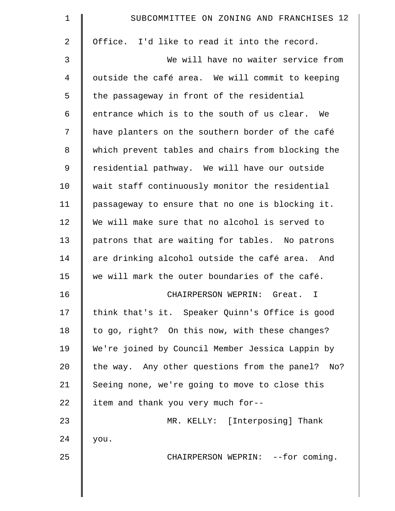| $\mathbf 1$    | SUBCOMMITTEE ON ZONING AND FRANCHISES 12          |
|----------------|---------------------------------------------------|
| $\overline{2}$ | Office. I'd like to read it into the record.      |
| 3              | We will have no waiter service from               |
| 4              | outside the café area. We will commit to keeping  |
| 5              | the passageway in front of the residential        |
| 6              | entrance which is to the south of us clear. We    |
| 7              | have planters on the southern border of the café  |
| 8              | which prevent tables and chairs from blocking the |
| $\mathsf 9$    | residential pathway. We will have our outside     |
| 10             | wait staff continuously monitor the residential   |
| 11             | passageway to ensure that no one is blocking it.  |
| 12             | We will make sure that no alcohol is served to    |
| 13             | patrons that are waiting for tables. No patrons   |
| 14             | are drinking alcohol outside the café area. And   |
| 15             | we will mark the outer boundaries of the café.    |
| 16             | CHAIRPERSON WEPRIN: Great.<br>I                   |
| 17             | think that's it. Speaker Quinn's Office is good   |
| 18             | to go, right? On this now, with these changes?    |
| 19             | We're joined by Council Member Jessica Lappin by  |
| 20             | the way. Any other questions from the panel? No?  |
| 21             | Seeing none, we're going to move to close this    |
| 22             | item and thank you very much for--                |
| 23             | MR. KELLY: [Interposing] Thank                    |
| 24             | you.                                              |
| 25             | CHAIRPERSON WEPRIN: -- for coming.                |
|                |                                                   |
|                |                                                   |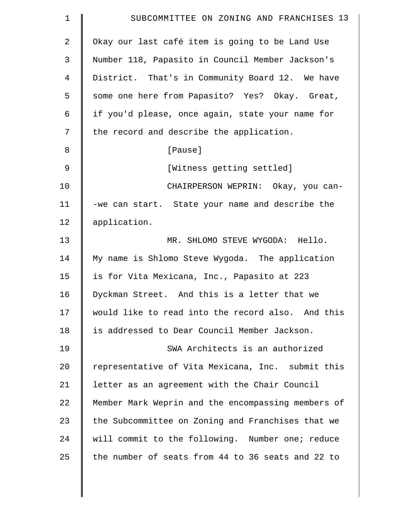| $\mathbf 1$    | SUBCOMMITTEE ON ZONING AND FRANCHISES 13           |
|----------------|----------------------------------------------------|
| $\overline{a}$ | Okay our last café item is going to be Land Use    |
| 3              | Number 118, Papasito in Council Member Jackson's   |
| 4              | District. That's in Community Board 12. We have    |
| 5              | some one here from Papasito? Yes? Okay. Great,     |
| 6              | if you'd please, once again, state your name for   |
| 7              | the record and describe the application.           |
| 8              | [Pause]                                            |
| $\mathfrak{g}$ | [Witness getting settled]                          |
| 10             | CHAIRPERSON WEPRIN: Okay, you can-                 |
| 11             | -we can start. State your name and describe the    |
| 12             | application.                                       |
| 13             | MR. SHLOMO STEVE WYGODA: Hello.                    |
| 14             | My name is Shlomo Steve Wygoda. The application    |
| 15             | is for Vita Mexicana, Inc., Papasito at 223        |
| 16             | Dyckman Street. And this is a letter that we       |
| 17             | would like to read into the record also. And this  |
| 18             | is addressed to Dear Council Member Jackson.       |
| 19             | SWA Architects is an authorized                    |
| 20             | representative of Vita Mexicana, Inc. submit this  |
| 21             | letter as an agreement with the Chair Council      |
| 22             | Member Mark Weprin and the encompassing members of |
| 23             | the Subcommittee on Zoning and Franchises that we  |
| 24             | will commit to the following. Number one; reduce   |
| 25             | the number of seats from 44 to 36 seats and 22 to  |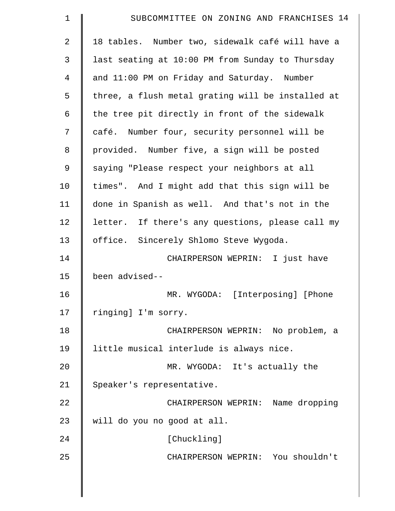| $\mathbf 1$    | SUBCOMMITTEE ON ZONING AND FRANCHISES 14          |
|----------------|---------------------------------------------------|
| $\overline{2}$ | 18 tables. Number two, sidewalk café will have a  |
| 3              | last seating at 10:00 PM from Sunday to Thursday  |
| $\overline{4}$ | and 11:00 PM on Friday and Saturday. Number       |
| 5              | three, a flush metal grating will be installed at |
| 6              | the tree pit directly in front of the sidewalk    |
| 7              | café. Number four, security personnel will be     |
| 8              | provided. Number five, a sign will be posted      |
| 9              | saying "Please respect your neighbors at all      |
| 10             | times". And I might add that this sign will be    |
| 11             | done in Spanish as well. And that's not in the    |
| 12             | letter. If there's any questions, please call my  |
| 13             | office. Sincerely Shlomo Steve Wygoda.            |
| 14             | CHAIRPERSON WEPRIN: I just have                   |
| 15             | been advised--                                    |
| 16             | MR. WYGODA: [Interposing] [Phone                  |
| 17             | ringing] I'm sorry.                               |
| 18             | CHAIRPERSON WEPRIN: No problem, a                 |
| 19             | little musical interlude is always nice.          |
| 20             | MR. WYGODA: It's actually the                     |
| 21             | Speaker's representative.                         |
| 22             | CHAIRPERSON WEPRIN: Name dropping                 |
| 23             | will do you no good at all.                       |
| 24             | [Chuckling]                                       |
| 25             | CHAIRPERSON WEPRIN: You shouldn't                 |
|                |                                                   |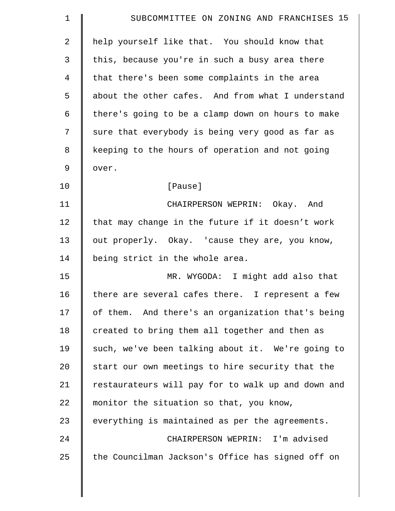| $\mathbf 1$    | SUBCOMMITTEE ON ZONING AND FRANCHISES 15           |
|----------------|----------------------------------------------------|
| $\overline{2}$ | help yourself like that. You should know that      |
| 3              | this, because you're in such a busy area there     |
| 4              | that there's been some complaints in the area      |
| 5              | about the other cafes. And from what I understand  |
| 6              | there's going to be a clamp down on hours to make  |
| 7              | sure that everybody is being very good as far as   |
| 8              | keeping to the hours of operation and not going    |
| 9              | over.                                              |
| 10             | [Pause]                                            |
| 11             | CHAIRPERSON WEPRIN: Okay. And                      |
| 12             | that may change in the future if it doesn't work   |
| 13             | out properly. Okay. 'cause they are, you know,     |
| 14             | being strict in the whole area.                    |
| 15             | MR. WYGODA: I might add also that                  |
| 16             | there are several cafes there. I represent a few   |
| 17             | of them. And there's an organization that's being  |
| 18             | created to bring them all together and then as     |
| 19             | such, we've been talking about it. We're going to  |
| 20             | start our own meetings to hire security that the   |
| 21             | restaurateurs will pay for to walk up and down and |
| 22             | monitor the situation so that, you know,           |
| 23             | everything is maintained as per the agreements.    |
| 24             | CHAIRPERSON WEPRIN: I'm advised                    |
| 25             | the Councilman Jackson's Office has signed off on  |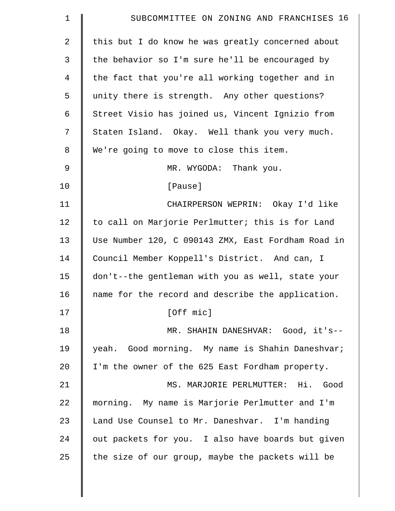| $\mathbf 1$    | SUBCOMMITTEE ON ZONING AND FRANCHISES 16           |
|----------------|----------------------------------------------------|
| $\overline{2}$ | this but I do know he was greatly concerned about  |
| 3              | the behavior so I'm sure he'll be encouraged by    |
| 4              | the fact that you're all working together and in   |
| 5              | unity there is strength. Any other questions?      |
| 6              | Street Visio has joined us, Vincent Ignizio from   |
| 7              | Staten Island. Okay. Well thank you very much.     |
| 8              | We're going to move to close this item.            |
| $\mathsf 9$    | MR. WYGODA: Thank you.                             |
| 10             | [Pause]                                            |
| 11             | CHAIRPERSON WEPRIN: Okay I'd like                  |
| 12             | to call on Marjorie Perlmutter; this is for Land   |
| 13             | Use Number 120, C 090143 ZMX, East Fordham Road in |
| 14             | Council Member Koppell's District. And can, I      |
| 15             | don't--the gentleman with you as well, state your  |
| 16             | name for the record and describe the application.  |
| 17             | [Off mic]                                          |
| 18             | MR. SHAHIN DANESHVAR: Good, it's--                 |
| 19             | yeah. Good morning. My name is Shahin Daneshvar;   |
| 20             | I'm the owner of the 625 East Fordham property.    |
| 21             | MS. MARJORIE PERLMUTTER: Hi. Good                  |
| 22             | morning. My name is Marjorie Perlmutter and I'm    |
| 23             | Land Use Counsel to Mr. Daneshvar. I'm handing     |
| 24             | out packets for you. I also have boards but given  |
| 25             | the size of our group, maybe the packets will be   |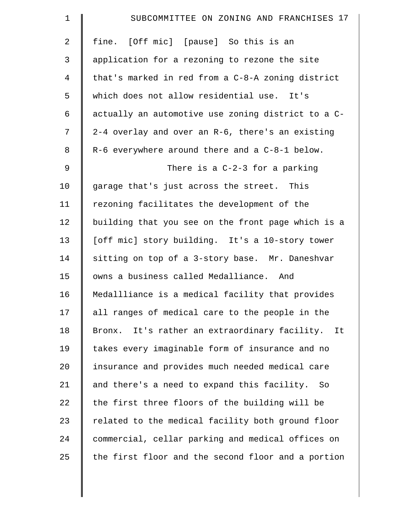| $\mathbf 1$    | SUBCOMMITTEE ON ZONING AND FRANCHISES 17           |
|----------------|----------------------------------------------------|
| $\overline{2}$ | fine. [Off mic] [pause] So this is an              |
| 3              | application for a rezoning to rezone the site      |
| $\overline{4}$ | that's marked in red from a C-8-A zoning district  |
| 5              | which does not allow residential use. It's         |
| 6              | actually an automotive use zoning district to a C- |
| 7              | 2-4 overlay and over an R-6, there's an existing   |
| 8              | R-6 everywhere around there and a C-8-1 below.     |
| $\mathsf 9$    | There is a $C-2-3$ for a parking                   |
| 10             | garage that's just across the street. This         |
| 11             | rezoning facilitates the development of the        |
| 12             | building that you see on the front page which is a |
| 13             | [off mic] story building. It's a 10-story tower    |
| 14             | sitting on top of a 3-story base. Mr. Daneshvar    |
| 15             | owns a business called Medalliance. And            |
| 16             | Medallliance is a medical facility that provides   |
| 17             | all ranges of medical care to the people in the    |
| 18             | Bronx. It's rather an extraordinary facility. It   |
| 19             | takes every imaginable form of insurance and no    |
| 20             | insurance and provides much needed medical care    |
| 21             | and there's a need to expand this facility. So     |
| 22             | the first three floors of the building will be     |
| 23             | related to the medical facility both ground floor  |
| 24             | commercial, cellar parking and medical offices on  |
| 25             | the first floor and the second floor and a portion |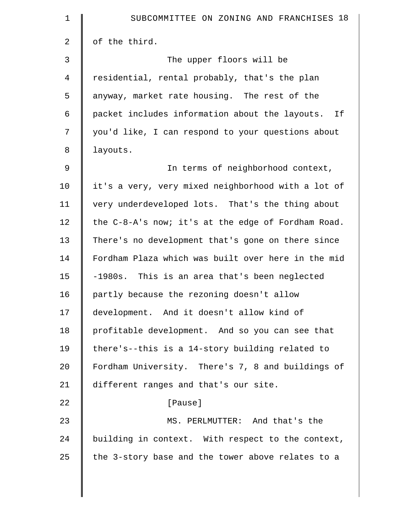| $\mathbf 1$ | SUBCOMMITTEE ON ZONING AND FRANCHISES 18           |
|-------------|----------------------------------------------------|
| 2           | of the third.                                      |
| 3           | The upper floors will be                           |
| 4           | residential, rental probably, that's the plan      |
| 5           | anyway, market rate housing. The rest of the       |
| 6           | packet includes information about the layouts. If  |
| 7           | you'd like, I can respond to your questions about  |
| $\,8\,$     | layouts.                                           |
| $\mathsf 9$ | In terms of neighborhood context,                  |
| 10          | it's a very, very mixed neighborhood with a lot of |
| 11          | very underdeveloped lots. That's the thing about   |
| 12          | the C-8-A's now; it's at the edge of Fordham Road. |
| 13          | There's no development that's gone on there since  |
| 14          | Fordham Plaza which was built over here in the mid |
| 15          | -1980s. This is an area that's been neglected      |
| 16          | partly because the rezoning doesn't allow          |
| 17          | development. And it doesn't allow kind of          |
| 18          | profitable development. And so you can see that    |
| 19          | there's--this is a 14-story building related to    |
| 20          | Fordham University. There's 7, 8 and buildings of  |
| 21          | different ranges and that's our site.              |
| 22          | [Pause]                                            |
| 23          | MS. PERLMUTTER: And that's the                     |
| 24          | building in context. With respect to the context,  |
| 25          | the 3-story base and the tower above relates to a  |
|             |                                                    |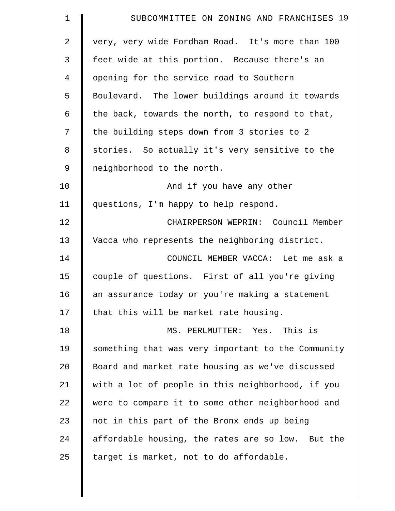| $\mathbf 1$    | SUBCOMMITTEE ON ZONING AND FRANCHISES 19           |
|----------------|----------------------------------------------------|
| $\overline{a}$ | very, very wide Fordham Road. It's more than 100   |
| 3              | feet wide at this portion. Because there's an      |
| 4              | opening for the service road to Southern           |
| 5              | Boulevard. The lower buildings around it towards   |
| 6              | the back, towards the north, to respond to that,   |
| 7              | the building steps down from 3 stories to 2        |
| 8              | stories. So actually it's very sensitive to the    |
| 9              | neighborhood to the north.                         |
| 10             | And if you have any other                          |
| 11             | questions, I'm happy to help respond.              |
| 12             | CHAIRPERSON WEPRIN: Council Member                 |
| 13             | Vacca who represents the neighboring district.     |
| 14             | COUNCIL MEMBER VACCA: Let me ask a                 |
| 15             | couple of questions. First of all you're giving    |
| 16             | an assurance today or you're making a statement    |
| 17             | that this will be market rate housing.             |
| 18             | MS. PERLMUTTER: Yes. This is                       |
| 19             | something that was very important to the Community |
| 20             | Board and market rate housing as we've discussed   |
| 21             | with a lot of people in this neighborhood, if you  |
| 22             | were to compare it to some other neighborhood and  |
| 23             | not in this part of the Bronx ends up being        |
| 24             | affordable housing, the rates are so low. But the  |
| 25             | target is market, not to do affordable.            |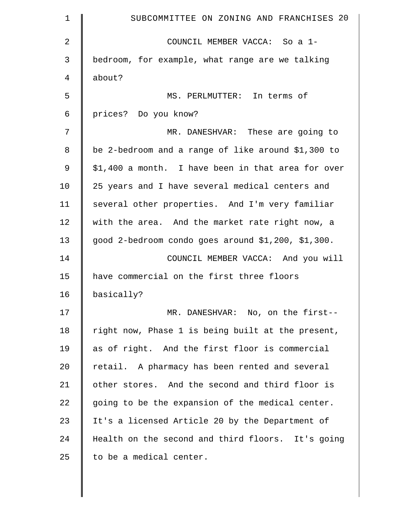| 1              | SUBCOMMITTEE ON ZONING AND FRANCHISES 20           |
|----------------|----------------------------------------------------|
| $\overline{2}$ | COUNCIL MEMBER VACCA: So a 1-                      |
| 3              | bedroom, for example, what range are we talking    |
| 4              | about?                                             |
| 5              | MS. PERLMUTTER: In terms of                        |
| 6              | prices? Do you know?                               |
| 7              | MR. DANESHVAR: These are going to                  |
| 8              | be 2-bedroom and a range of like around \$1,300 to |
| $\mathcal{G}$  | \$1,400 a month. I have been in that area for over |
| 10             | 25 years and I have several medical centers and    |
| 11             | several other properties. And I'm very familiar    |
| 12             | with the area. And the market rate right now, a    |
| 13             | good 2-bedroom condo goes around \$1,200, \$1,300. |
| 14             | COUNCIL MEMBER VACCA: And you will                 |
| 15             | have commercial on the first three floors          |
| 16             | basically?                                         |
| 17             | MR. DANESHVAR: No, on the first--                  |
| 18             | right now, Phase 1 is being built at the present,  |
| 19             | as of right. And the first floor is commercial     |
| 20             | retail. A pharmacy has been rented and several     |
| 21             | other stores. And the second and third floor is    |
| 22             | going to be the expansion of the medical center.   |
| 23             | It's a licensed Article 20 by the Department of    |
| 24             | Health on the second and third floors. It's going  |
| 25             | to be a medical center.                            |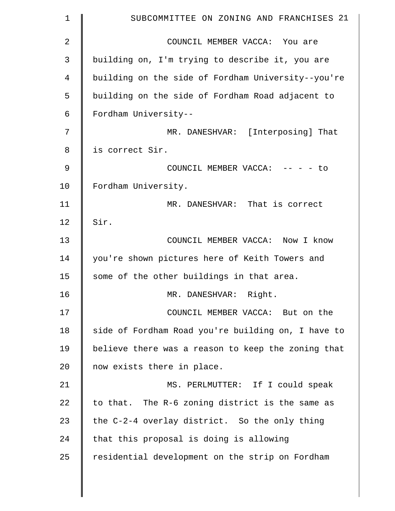| 1  | SUBCOMMITTEE ON ZONING AND FRANCHISES 21           |
|----|----------------------------------------------------|
| 2  | COUNCIL MEMBER VACCA: You are                      |
| 3  | building on, I'm trying to describe it, you are    |
| 4  | building on the side of Fordham University--you're |
| 5  | building on the side of Fordham Road adjacent to   |
| 6  | Fordham University--                               |
| 7  | MR. DANESHVAR: [Interposing] That                  |
| 8  | is correct Sir.                                    |
| 9  | COUNCIL MEMBER VACCA: -- - - to                    |
| 10 | Fordham University.                                |
| 11 | MR. DANESHVAR: That is correct                     |
| 12 | Sir.                                               |
| 13 | COUNCIL MEMBER VACCA: Now I know                   |
| 14 | you're shown pictures here of Keith Towers and     |
| 15 | some of the other buildings in that area.          |
| 16 | MR. DANESHVAR: Right.                              |
| 17 | COUNCIL MEMBER VACCA: But on the                   |
| 18 | side of Fordham Road you're building on, I have to |
| 19 | believe there was a reason to keep the zoning that |
| 20 | now exists there in place.                         |
| 21 | MS. PERLMUTTER: If I could speak                   |
| 22 | to that. The R-6 zoning district is the same as    |
| 23 | the C-2-4 overlay district. So the only thing      |
| 24 | that this proposal is doing is allowing            |
| 25 | residential development on the strip on Fordham    |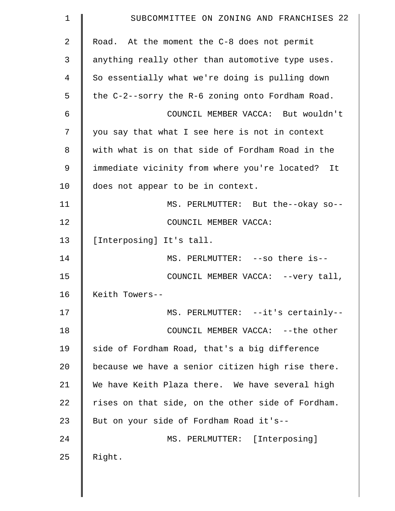| $\mathbf 1$    | SUBCOMMITTEE ON ZONING AND FRANCHISES 22          |
|----------------|---------------------------------------------------|
| $\overline{2}$ | Road. At the moment the C-8 does not permit       |
| 3              | anything really other than automotive type uses.  |
| 4              | So essentially what we're doing is pulling down   |
| 5              | the C-2--sorry the R-6 zoning onto Fordham Road.  |
| 6              | COUNCIL MEMBER VACCA: But wouldn't                |
| 7              | you say that what I see here is not in context    |
| 8              | with what is on that side of Fordham Road in the  |
| 9              | immediate vicinity from where you're located? It  |
| 10             | does not appear to be in context.                 |
| 11             | MS. PERLMUTTER: But the--okay so--                |
| 12             | COUNCIL MEMBER VACCA:                             |
| 13             | [Interposing] It's tall.                          |
| 14             | MS. PERLMUTTER: --so there is--                   |
| 15             | COUNCIL MEMBER VACCA: -- very tall,               |
| 16             | Keith Towers--                                    |
| 17             | MS. PERLMUTTER: --it's certainly--                |
| 18             | COUNCIL MEMBER VACCA: -- the other                |
| 19             | side of Fordham Road, that's a big difference     |
| 20             | because we have a senior citizen high rise there. |
| 21             | We have Keith Plaza there. We have several high   |
| 22             | rises on that side, on the other side of Fordham. |
| 23             | But on your side of Fordham Road it's--           |
| 24             | MS. PERLMUTTER: [Interposing]                     |
| 25             | Right.                                            |
|                |                                                   |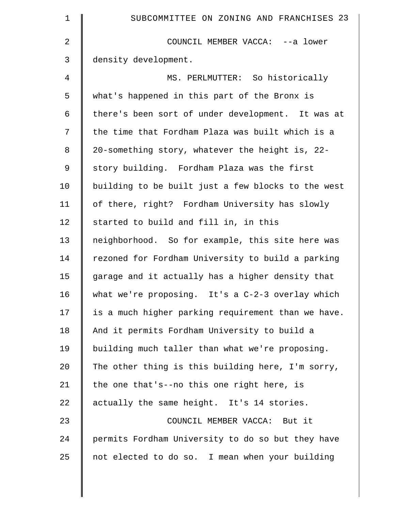| 1  | SUBCOMMITTEE ON ZONING AND FRANCHISES 23           |
|----|----------------------------------------------------|
| 2  | COUNCIL MEMBER VACCA: -- a lower                   |
| 3  | density development.                               |
| 4  | MS. PERLMUTTER: So historically                    |
| 5  | what's happened in this part of the Bronx is       |
| 6  | there's been sort of under development. It was at  |
| 7  | the time that Fordham Plaza was built which is a   |
| 8  | 20-something story, whatever the height is, 22-    |
| 9  | story building. Fordham Plaza was the first        |
| 10 | building to be built just a few blocks to the west |
| 11 | of there, right? Fordham University has slowly     |
| 12 | started to build and fill in, in this              |
| 13 | neighborhood. So for example, this site here was   |
| 14 | rezoned for Fordham University to build a parking  |
| 15 | garage and it actually has a higher density that   |
| 16 | what we're proposing. It's a $C-2-3$ overlay which |
| 17 | is a much higher parking requirement than we have. |
| 18 | And it permits Fordham University to build a       |
| 19 | building much taller than what we're proposing.    |
| 20 | The other thing is this building here, I'm sorry,  |
| 21 | the one that's--no this one right here, is         |
| 22 | actually the same height. It's 14 stories.         |
| 23 | COUNCIL MEMBER VACCA: But it                       |
| 24 | permits Fordham University to do so but they have  |
| 25 | not elected to do so. I mean when your building    |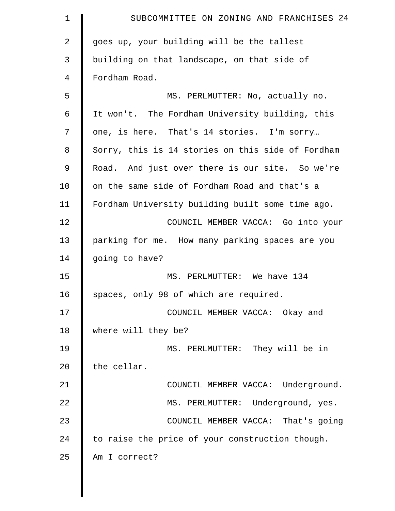| $\mathbf 1$    | SUBCOMMITTEE ON ZONING AND FRANCHISES 24          |
|----------------|---------------------------------------------------|
| $\overline{2}$ | goes up, your building will be the tallest        |
| 3              | building on that landscape, on that side of       |
| 4              | Fordham Road.                                     |
| 5              | MS. PERLMUTTER: No, actually no.                  |
| 6              | It won't. The Fordham University building, this   |
| 7              | one, is here. That's 14 stories. I'm sorry        |
| 8              | Sorry, this is 14 stories on this side of Fordham |
| $\mathsf 9$    | Road. And just over there is our site. So we're   |
| 10             | on the same side of Fordham Road and that's a     |
| 11             | Fordham University building built some time ago.  |
| 12             | COUNCIL MEMBER VACCA: Go into your                |
| 13             | parking for me. How many parking spaces are you   |
| 14             | going to have?                                    |
| 15             | MS. PERLMUTTER: We have 134                       |
| 16             | spaces, only 98 of which are required.            |
| 17             | COUNCIL MEMBER VACCA: Okay and                    |
| 18             | where will they be?                               |
| 19             | MS. PERLMUTTER: They will be in                   |
| 20             | the cellar.                                       |
| 21             | COUNCIL MEMBER VACCA: Underground.                |
| 22             | MS. PERLMUTTER: Underground, yes.                 |
| 23             | COUNCIL MEMBER VACCA: That's going                |
| 24             | to raise the price of your construction though.   |
| 25             | Am I correct?                                     |
|                |                                                   |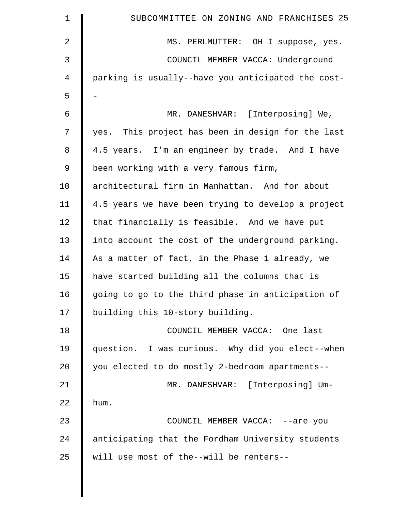| $\mathbf 1$    | SUBCOMMITTEE ON ZONING AND FRANCHISES 25           |
|----------------|----------------------------------------------------|
| $\overline{2}$ | MS. PERLMUTTER: OH I suppose, yes.                 |
| 3              | COUNCIL MEMBER VACCA: Underground                  |
| 4              | parking is usually--have you anticipated the cost- |
| 5              |                                                    |
| 6              | MR. DANESHVAR: [Interposing] We,                   |
| 7              | yes. This project has been in design for the last  |
| 8              | 4.5 years. I'm an engineer by trade. And I have    |
| $\mathsf 9$    | been working with a very famous firm,              |
| 10             | architectural firm in Manhattan. And for about     |
| 11             | 4.5 years we have been trying to develop a project |
| 12             | that financially is feasible. And we have put      |
| 13             | into account the cost of the underground parking.  |
| 14             | As a matter of fact, in the Phase 1 already, we    |
| 15             | have started building all the columns that is      |
| 16             | going to go to the third phase in anticipation of  |
| 17             | building this 10-story building.                   |
| 18             | COUNCIL MEMBER VACCA: One last                     |
| 19             | question. I was curious. Why did you elect--when   |
| 20             | you elected to do mostly 2-bedroom apartments--    |
| 21             | MR. DANESHVAR: [Interposing] Um-                   |
| 22             | hum.                                               |
| 23             | COUNCIL MEMBER VACCA: --are you                    |
| 24             | anticipating that the Fordham University students  |
| 25             | will use most of the--will be renters--            |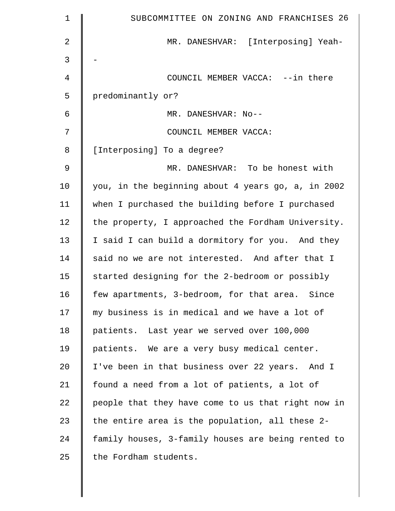| $\mathbf 1$    | SUBCOMMITTEE ON ZONING AND FRANCHISES 26           |
|----------------|----------------------------------------------------|
| $\overline{2}$ | MR. DANESHVAR: [Interposing] Yeah-                 |
| 3              |                                                    |
| $\overline{4}$ | COUNCIL MEMBER VACCA: --in there                   |
| 5              | predominantly or?                                  |
| 6              | MR. DANESHVAR: No--                                |
| 7              | COUNCIL MEMBER VACCA:                              |
| 8              | [Interposing] To a degree?                         |
| $\mathcal{G}$  | MR. DANESHVAR: To be honest with                   |
| 10             | you, in the beginning about 4 years go, a, in 2002 |
| 11             | when I purchased the building before I purchased   |
| 12             | the property, I approached the Fordham University. |
| 13             | I said I can build a dormitory for you. And they   |
| 14             | said no we are not interested. And after that I    |
| 15             | started designing for the 2-bedroom or possibly    |
| 16             | few apartments, 3-bedroom, for that area. Since    |
| 17             | my business is in medical and we have a lot of     |
| 18             | patients. Last year we served over 100,000         |
| 19             | patients. We are a very busy medical center.       |
| 20             | I've been in that business over 22 years. And I    |
| 21             | found a need from a lot of patients, a lot of      |
| 22             | people that they have come to us that right now in |
| 23             | the entire area is the population, all these 2-    |
| 24             | family houses, 3-family houses are being rented to |
| 25             | the Fordham students.                              |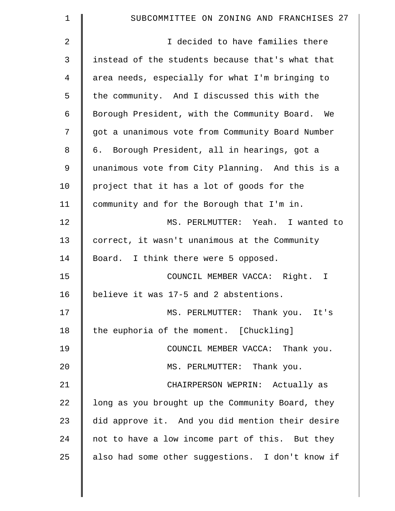| 1              | SUBCOMMITTEE ON ZONING AND FRANCHISES 27         |
|----------------|--------------------------------------------------|
| 2              | I decided to have families there                 |
| 3              | instead of the students because that's what that |
| $\overline{4}$ | area needs, especially for what I'm bringing to  |
| 5              | the community. And I discussed this with the     |
| 6              | Borough President, with the Community Board. We  |
| 7              | got a unanimous vote from Community Board Number |
| 8              | Borough President, all in hearings, got a<br>6.  |
| 9              | unanimous vote from City Planning. And this is a |
| 10             | project that it has a lot of goods for the       |
| 11             | community and for the Borough that I'm in.       |
| 12             | MS. PERLMUTTER: Yeah. I wanted to                |
| 13             | correct, it wasn't unanimous at the Community    |
| 14             | Board. I think there were 5 opposed.             |
| 15             | COUNCIL MEMBER VACCA: Right.<br>$\mathbf I$      |
| 16             | believe it was 17-5 and 2 abstentions.           |
| 17             | MS. PERLMUTTER: Thank you. It's                  |
| 18             | the euphoria of the moment. [Chuckling]          |
| 19             | COUNCIL MEMBER VACCA: Thank you.                 |
| 20             | MS. PERLMUTTER: Thank you.                       |
| 21             | CHAIRPERSON WEPRIN: Actually as                  |
| 22             | long as you brought up the Community Board, they |
| 23             | did approve it. And you did mention their desire |
| 24             | not to have a low income part of this. But they  |
| 25             | also had some other suggestions. I don't know if |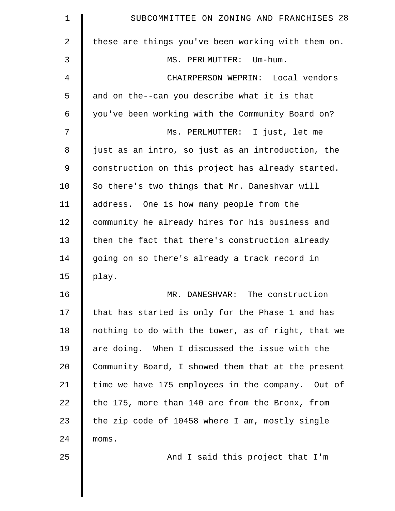| 1      | SUBCOMMITTEE ON ZONING AND FRANCHISES 28           |
|--------|----------------------------------------------------|
| 2      | these are things you've been working with them on. |
| 3      | MS. PERLMUTTER: Um-hum.                            |
| 4      | CHAIRPERSON WEPRIN: Local vendors                  |
| 5      | and on the--can you describe what it is that       |
| 6      | you've been working with the Community Board on?   |
| 7      | Ms. PERLMUTTER: I just, let me                     |
| 8      | just as an intro, so just as an introduction, the  |
| 9      | construction on this project has already started.  |
| 10     | So there's two things that Mr. Daneshvar will      |
| 11     | address. One is how many people from the           |
| 12     | community he already hires for his business and    |
| 13     | then the fact that there's construction already    |
| 14     | going on so there's already a track record in      |
| 15     | play.                                              |
| 16     | MR. DANESHVAR: The construction                    |
| 17     | that has started is only for the Phase 1 and has   |
| $18\,$ | nothing to do with the tower, as of right, that we |
| 19     | are doing. When I discussed the issue with the     |
| 20     | Community Board, I showed them that at the present |
| 21     | time we have 175 employees in the company. Out of  |
| 22     | the 175, more than 140 are from the Bronx, from    |
| 23     | the zip code of 10458 where I am, mostly single    |
| 24     | moms.                                              |
| 25     | And I said this project that I'm                   |
|        |                                                    |
|        |                                                    |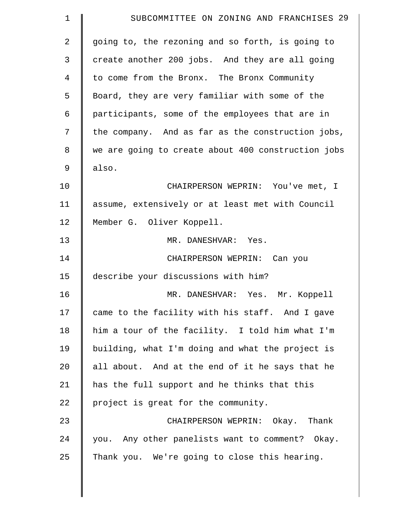| 1  | SUBCOMMITTEE ON ZONING AND FRANCHISES 29           |
|----|----------------------------------------------------|
| 2  | going to, the rezoning and so forth, is going to   |
| 3  | create another 200 jobs. And they are all going    |
| 4  | to come from the Bronx. The Bronx Community        |
| 5  | Board, they are very familiar with some of the     |
| 6  | participants, some of the employees that are in    |
| 7  | the company. And as far as the construction jobs,  |
| 8  | we are going to create about 400 construction jobs |
| 9  | also.                                              |
| 10 | CHAIRPERSON WEPRIN: You've met, I                  |
| 11 | assume, extensively or at least met with Council   |
| 12 | Member G. Oliver Koppell.                          |
| 13 | MR. DANESHVAR: Yes.                                |
| 14 | CHAIRPERSON WEPRIN: Can you                        |
| 15 | describe your discussions with him?                |
| 16 | MR. DANESHVAR: Yes. Mr. Koppell                    |
| 17 | came to the facility with his staff. And I gave    |
| 18 | him a tour of the facility. I told him what I'm    |
| 19 | building, what I'm doing and what the project is   |
| 20 | all about. And at the end of it he says that he    |
| 21 | has the full support and he thinks that this       |
| 22 | project is great for the community.                |
| 23 | CHAIRPERSON WEPRIN: Okay. Thank                    |
| 24 | you. Any other panelists want to comment? Okay.    |
| 25 | Thank you. We're going to close this hearing.      |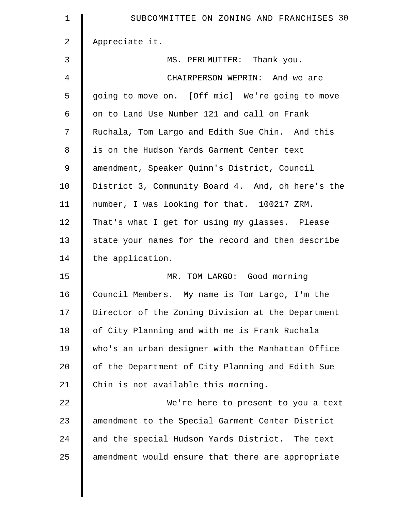| $\mathbf 1$ | SUBCOMMITTEE ON ZONING AND FRANCHISES 30          |
|-------------|---------------------------------------------------|
| 2           | Appreciate it.                                    |
| 3           | MS. PERLMUTTER: Thank you.                        |
| 4           | CHAIRPERSON WEPRIN: And we are                    |
| 5           | going to move on. [Off mic] We're going to move   |
| 6           | on to Land Use Number 121 and call on Frank       |
| 7           | Ruchala, Tom Largo and Edith Sue Chin. And this   |
| 8           | is on the Hudson Yards Garment Center text        |
| $\mathsf 9$ | amendment, Speaker Quinn's District, Council      |
| 10          | District 3, Community Board 4. And, oh here's the |
| 11          | number, I was looking for that. 100217 ZRM.       |
| 12          | That's what I get for using my glasses. Please    |
| 13          | state your names for the record and then describe |
| 14          | the application.                                  |
| 15          | MR. TOM LARGO: Good morning                       |
| 16          | Council Members. My name is Tom Largo, I'm the    |
| 17          | Director of the Zoning Division at the Department |
| 18          | of City Planning and with me is Frank Ruchala     |
| 19          | who's an urban designer with the Manhattan Office |
| 20          | of the Department of City Planning and Edith Sue  |
| 21          | Chin is not available this morning.               |
| 22          | We're here to present to you a text               |
| 23          | amendment to the Special Garment Center District  |
| 24          | and the special Hudson Yards District. The text   |
| 25          | amendment would ensure that there are appropriate |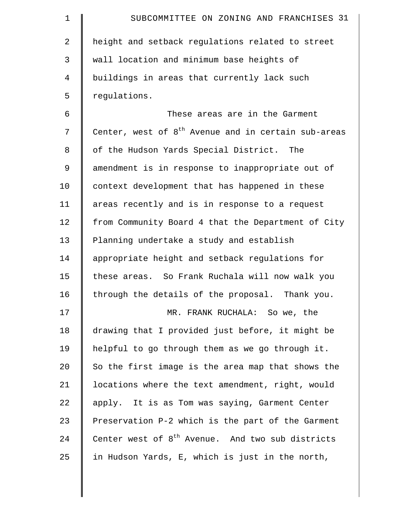| $\mathbf 1$    | SUBCOMMITTEE ON ZONING AND FRANCHISES 31                     |
|----------------|--------------------------------------------------------------|
| $\overline{2}$ | height and setback regulations related to street             |
| 3              | wall location and minimum base heights of                    |
| 4              | buildings in areas that currently lack such                  |
| 5              | regulations.                                                 |
| 6              | These areas are in the Garment                               |
| 7              | Center, west of $8th$ Avenue and in certain sub-areas        |
| 8              | of the Hudson Yards Special District. The                    |
| 9              | amendment is in response to inappropriate out of             |
| 10             | context development that has happened in these               |
| 11             | areas recently and is in response to a request               |
| 12             | from Community Board 4 that the Department of City           |
| 13             | Planning undertake a study and establish                     |
| 14             | appropriate height and setback regulations for               |
| 15             | these areas. So Frank Ruchala will now walk you              |
| 16             | through the details of the proposal. Thank you.              |
| 17             | MR. FRANK RUCHALA: So we, the                                |
| 18             | drawing that I provided just before, it might be             |
| 19             | helpful to go through them as we go through it.              |
| 20             | So the first image is the area map that shows the            |
| 21             | locations where the text amendment, right, would             |
| 22             | apply. It is as Tom was saying, Garment Center               |
| 23             | Preservation P-2 which is the part of the Garment            |
| 24             | Center west of 8 <sup>th</sup> Avenue. And two sub districts |
| 25             | in Hudson Yards, E, which is just in the north,              |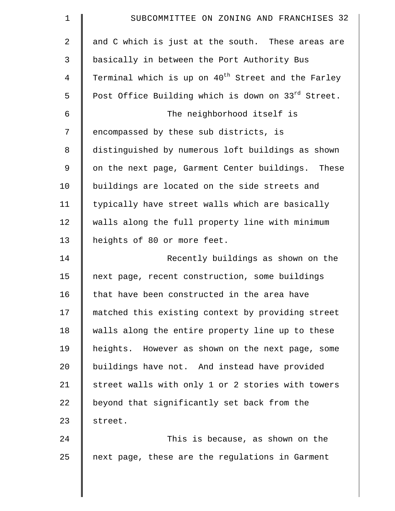| $\mathbf 1$    | SUBCOMMITTEE ON ZONING AND FRANCHISES 32                       |
|----------------|----------------------------------------------------------------|
| $\overline{2}$ | and C which is just at the south. These areas are              |
| 3              | basically in between the Port Authority Bus                    |
| 4              | Terminal which is up on 40 <sup>th</sup> Street and the Farley |
| 5              | Post Office Building which is down on 33rd Street.             |
| 6              | The neighborhood itself is                                     |
| 7              | encompassed by these sub districts, is                         |
| 8              | distinguished by numerous loft buildings as shown              |
| 9              | on the next page, Garment Center buildings. These              |
| 10             | buildings are located on the side streets and                  |
| 11             | typically have street walls which are basically                |
| 12             | walls along the full property line with minimum                |
| 13             | heights of 80 or more feet.                                    |
| 14             | Recently buildings as shown on the                             |
| 15             | next page, recent construction, some buildings                 |
| 16             | that have been constructed in the area have                    |
| 17             | matched this existing context by providing street              |
| 18             | walls along the entire property line up to these               |
| 19             | heights. However as shown on the next page, some               |
| 20             | buildings have not. And instead have provided                  |
| 21             | street walls with only 1 or 2 stories with towers              |
| 22             | beyond that significantly set back from the                    |
| 23             | street.                                                        |
| 24             | This is because, as shown on the                               |
| 25             | next page, these are the regulations in Garment                |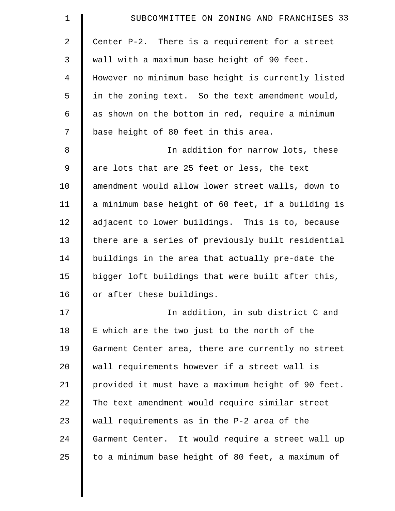| $\mathbf 1$    | SUBCOMMITTEE ON ZONING AND FRANCHISES 33           |
|----------------|----------------------------------------------------|
| $\overline{2}$ | Center P-2. There is a requirement for a street    |
| 3              | wall with a maximum base height of 90 feet.        |
| 4              | However no minimum base height is currently listed |
| 5              | in the zoning text. So the text amendment would,   |
| 6              | as shown on the bottom in red, require a minimum   |
| 7              | base height of 80 feet in this area.               |
| 8              | In addition for narrow lots, these                 |
| $\mathsf 9$    | are lots that are 25 feet or less, the text        |
| 10             | amendment would allow lower street walls, down to  |
| 11             | a minimum base height of 60 feet, if a building is |
| 12             | adjacent to lower buildings. This is to, because   |
| 13             | there are a series of previously built residential |
| 14             | buildings in the area that actually pre-date the   |
| 15             | bigger loft buildings that were built after this,  |
| 16             | or after these buildings.                          |
| 17             | In addition, in sub district C and                 |
| 18             | E which are the two just to the north of the       |
| 19             | Garment Center area, there are currently no street |
| 20             | wall requirements however if a street wall is      |
| 21             | provided it must have a maximum height of 90 feet. |
| 22             | The text amendment would require similar street    |
| 23             | wall requirements as in the P-2 area of the        |
| 24             | Garment Center. It would require a street wall up  |
| 25             | to a minimum base height of 80 feet, a maximum of  |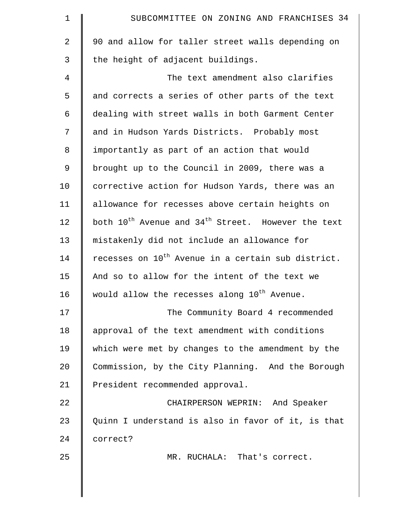| $\mathbf 1$ | SUBCOMMITTEE ON ZONING AND FRANCHISES 34                                   |
|-------------|----------------------------------------------------------------------------|
| 2           | 90 and allow for taller street walls depending on                          |
| 3           | the height of adjacent buildings.                                          |
| 4           | The text amendment also clarifies                                          |
| 5           | and corrects a series of other parts of the text                           |
| 6           | dealing with street walls in both Garment Center                           |
| 7           | and in Hudson Yards Districts. Probably most                               |
| 8           | importantly as part of an action that would                                |
| 9           | brought up to the Council in 2009, there was a                             |
| 10          | corrective action for Hudson Yards, there was an                           |
| 11          | allowance for recesses above certain heights on                            |
| 12          | both 10 <sup>th</sup> Avenue and 34 <sup>th</sup> Street. However the text |
| 13          | mistakenly did not include an allowance for                                |
| 14          | recesses on 10 <sup>th</sup> Avenue in a certain sub district.             |
| 15          | And so to allow for the intent of the text we                              |
| 16          | would allow the recesses along 10 <sup>th</sup> Avenue.                    |
| 17          | The Community Board 4 recommended                                          |
| 18          | approval of the text amendment with conditions                             |
| 19          | which were met by changes to the amendment by the                          |
| 20          | Commission, by the City Planning. And the Borough                          |
| 21          | President recommended approval.                                            |
| 22          | CHAIRPERSON WEPRIN: And Speaker                                            |
| 23          | Quinn I understand is also in favor of it, is that                         |
| 24          | correct?                                                                   |
| 25          | MR. RUCHALA: That's correct.                                               |
|             |                                                                            |
|             |                                                                            |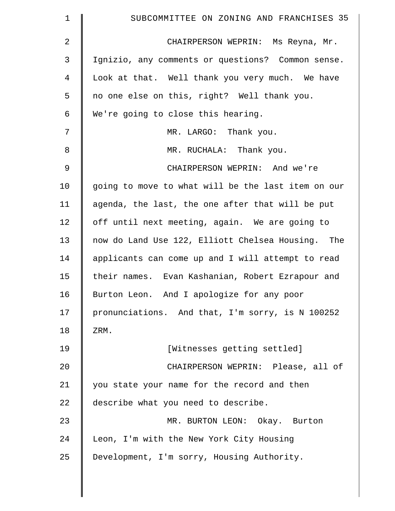| $\mathbf 1$    | SUBCOMMITTEE ON ZONING AND FRANCHISES 35           |
|----------------|----------------------------------------------------|
| 2              | CHAIRPERSON WEPRIN: Ms Reyna, Mr.                  |
| 3              | Ignizio, any comments or questions? Common sense.  |
| 4              | Look at that. Well thank you very much. We have    |
| 5              | no one else on this, right? Well thank you.        |
| 6              | We're going to close this hearing.                 |
| 7              | MR. LARGO: Thank you.                              |
| 8              | MR. RUCHALA: Thank you.                            |
| $\mathfrak{g}$ | CHAIRPERSON WEPRIN: And we're                      |
| 10             | going to move to what will be the last item on our |
| 11             | agenda, the last, the one after that will be put   |
| 12             | off until next meeting, again. We are going to     |
| 13             | now do Land Use 122, Elliott Chelsea Housing. The  |
| 14             | applicants can come up and I will attempt to read  |
| 15             | their names. Evan Kashanian, Robert Ezrapour and   |
| 16             | Burton Leon. And I apologize for any poor          |
| 17             | pronunciations. And that, I'm sorry, is N 100252   |
| 18             | ZRM.                                               |
| 19             | [Witnesses getting settled]                        |
| 20             | CHAIRPERSON WEPRIN: Please, all of                 |
| 21             | you state your name for the record and then        |
| 22             | describe what you need to describe.                |
| 23             | MR. BURTON LEON: Okay. Burton                      |
| 24             | Leon, I'm with the New York City Housing           |
| 25             | Development, I'm sorry, Housing Authority.         |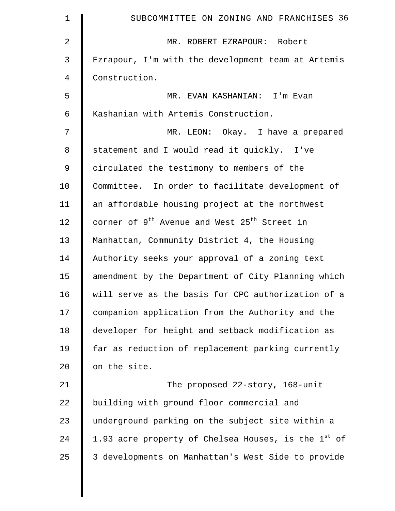| 1              | SUBCOMMITTEE ON ZONING AND FRANCHISES 36                             |
|----------------|----------------------------------------------------------------------|
| $\overline{2}$ | MR. ROBERT EZRAPOUR: Robert                                          |
| $\mathsf{3}$   | Ezrapour, I'm with the development team at Artemis                   |
| 4              | Construction.                                                        |
| 5              | MR. EVAN KASHANIAN: I'm Evan                                         |
| 6              | Kashanian with Artemis Construction.                                 |
| 7              | MR. LEON: Okay. I have a prepared                                    |
| 8              | statement and I would read it quickly. I've                          |
| $\mathsf 9$    | circulated the testimony to members of the                           |
| 10             | Committee. In order to facilitate development of                     |
| 11             | an affordable housing project at the northwest                       |
| 12             | corner of 9 <sup>th</sup> Avenue and West 25 <sup>th</sup> Street in |
| 13             | Manhattan, Community District 4, the Housing                         |
| 14             | Authority seeks your approval of a zoning text                       |
| 15             | amendment by the Department of City Planning which                   |
| 16             | will serve as the basis for CPC authorization of a                   |
| 17             | companion application from the Authority and the                     |
| 18             | developer for height and setback modification as                     |
| 19             | far as reduction of replacement parking currently                    |
| 20             | on the site.                                                         |
| 21             | The proposed 22-story, 168-unit                                      |
| 22             | building with ground floor commercial and                            |
| 23             | underground parking on the subject site within a                     |
| 24             | 1.93 acre property of Chelsea Houses, is the $1^\text{st}$ of        |
| 25             | 3 developments on Manhattan's West Side to provide                   |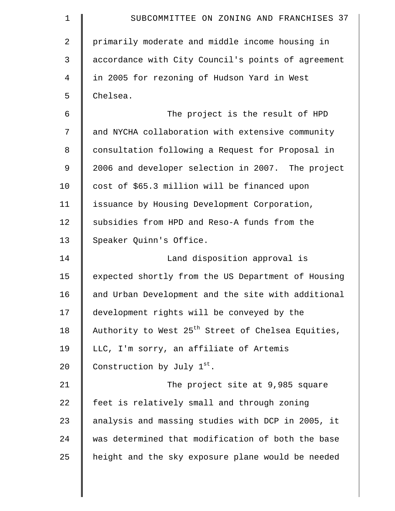| $\mathbf 1$    | SUBCOMMITTEE ON ZONING AND FRANCHISES 37                       |
|----------------|----------------------------------------------------------------|
| $\overline{a}$ | primarily moderate and middle income housing in                |
| 3              | accordance with City Council's points of agreement             |
| 4              | in 2005 for rezoning of Hudson Yard in West                    |
| 5              | Chelsea.                                                       |
| 6              | The project is the result of HPD                               |
| 7              | and NYCHA collaboration with extensive community               |
| 8              | consultation following a Request for Proposal in               |
| 9              | 2006 and developer selection in 2007. The project              |
| 10             | cost of \$65.3 million will be financed upon                   |
| 11             | issuance by Housing Development Corporation,                   |
| 12             | subsidies from HPD and Reso-A funds from the                   |
| 13             | Speaker Quinn's Office.                                        |
| 14             | Land disposition approval is                                   |
| 15             | expected shortly from the US Department of Housing             |
| 16             | and Urban Development and the site with additional             |
| 17             | development rights will be conveyed by the                     |
| 18             | Authority to West 25 <sup>th</sup> Street of Chelsea Equities, |
| 19             | LLC, I'm sorry, an affiliate of Artemis                        |
| 20             | Construction by July 1st.                                      |
| 21             | The project site at 9,985 square                               |
| 22             | feet is relatively small and through zoning                    |
| 23             | analysis and massing studies with DCP in 2005, it              |
| 24             | was determined that modification of both the base              |
| 25             | height and the sky exposure plane would be needed              |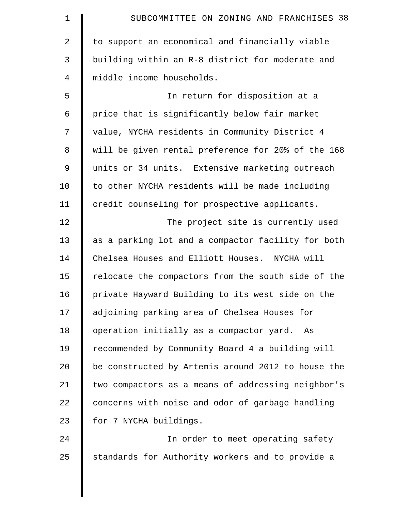| $\mathbf 1$ | SUBCOMMITTEE ON ZONING AND FRANCHISES 38           |
|-------------|----------------------------------------------------|
| 2           | to support an economical and financially viable    |
| 3           | building within an R-8 district for moderate and   |
| 4           | middle income households.                          |
| 5           | In return for disposition at a                     |
| 6           | price that is significantly below fair market      |
| 7           | value, NYCHA residents in Community District 4     |
| 8           | will be given rental preference for 20% of the 168 |
| 9           | units or 34 units. Extensive marketing outreach    |
| 10          | to other NYCHA residents will be made including    |
| 11          | credit counseling for prospective applicants.      |
| 12          | The project site is currently used                 |
| 13          | as a parking lot and a compactor facility for both |
| 14          | Chelsea Houses and Elliott Houses. NYCHA will      |
| 15          | relocate the compactors from the south side of the |
| 16          | private Hayward Building to its west side on the   |
| 17          | adjoining parking area of Chelsea Houses for       |
| 18          | operation initially as a compactor yard.<br>As     |
| 19          | recommended by Community Board 4 a building will   |
| 20          | be constructed by Artemis around 2012 to house the |
| 21          | two compactors as a means of addressing neighbor's |
| 22          | concerns with noise and odor of garbage handling   |
| 23          | for 7 NYCHA buildings.                             |
| 24          | In order to meet operating safety                  |
| 25          | standards for Authority workers and to provide a   |
|             |                                                    |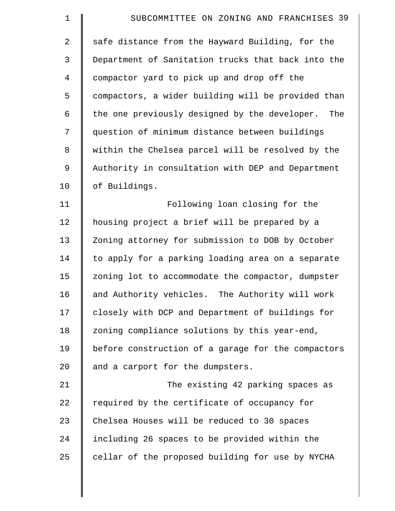| $\mathbf 1$    | SUBCOMMITTEE ON ZONING AND FRANCHISES 39           |
|----------------|----------------------------------------------------|
| $\overline{2}$ | safe distance from the Hayward Building, for the   |
| 3              | Department of Sanitation trucks that back into the |
| 4              | compactor yard to pick up and drop off the         |
| 5              | compactors, a wider building will be provided than |
| 6              | the one previously designed by the developer. The  |
| 7              | question of minimum distance between buildings     |
| 8              | within the Chelsea parcel will be resolved by the  |
| $\mathsf 9$    | Authority in consultation with DEP and Department  |
| 10             | of Buildings.                                      |
| 11             | Following loan closing for the                     |
| 12             | housing project a brief will be prepared by a      |
| 13             | Zoning attorney for submission to DOB by October   |
| 14             | to apply for a parking loading area on a separate  |
| 15             | zoning lot to accommodate the compactor, dumpster  |
| 16             | and Authority vehicles. The Authority will work    |
| 17             | closely with DCP and Department of buildings for   |
| 18             | zoning compliance solutions by this year-end,      |
| 19             | before construction of a garage for the compactors |
| 20             | and a carport for the dumpsters.                   |
| 21             | The existing 42 parking spaces as                  |
| 22             | required by the certificate of occupancy for       |
| 23             | Chelsea Houses will be reduced to 30 spaces        |
| 24             | including 26 spaces to be provided within the      |
| 25             | cellar of the proposed building for use by NYCHA   |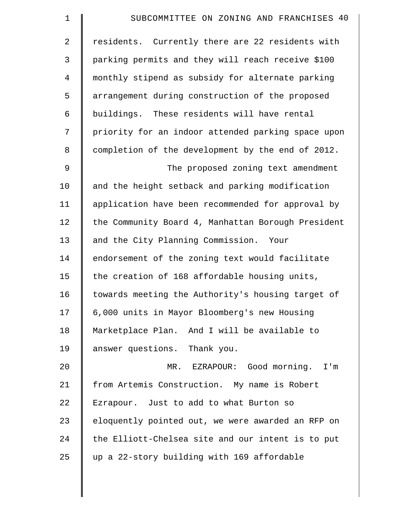| $\mathbf 1$    | SUBCOMMITTEE ON ZONING AND FRANCHISES 40           |
|----------------|----------------------------------------------------|
| 2              | residents. Currently there are 22 residents with   |
| 3              | parking permits and they will reach receive \$100  |
| $\overline{4}$ | monthly stipend as subsidy for alternate parking   |
| 5              | arrangement during construction of the proposed    |
| 6              | buildings. These residents will have rental        |
| 7              | priority for an indoor attended parking space upon |
| 8              | completion of the development by the end of 2012.  |
| 9              | The proposed zoning text amendment                 |
| 10             | and the height setback and parking modification    |
| 11             | application have been recommended for approval by  |
| 12             | the Community Board 4, Manhattan Borough President |
| 13             | and the City Planning Commission. Your             |
| 14             | endorsement of the zoning text would facilitate    |
| 15             | the creation of 168 affordable housing units,      |
| 16             | towards meeting the Authority's housing target of  |
| 17             | 6,000 units in Mayor Bloomberg's new Housing       |
| 18             | Marketplace Plan. And I will be available to       |
| 19             | answer questions. Thank you.                       |
| 20             | EZRAPOUR: Good morning. I'm<br>$MR$ .              |
| 21             | from Artemis Construction. My name is Robert       |
| 22             | Ezrapour. Just to add to what Burton so            |
| 23             | eloquently pointed out, we were awarded an RFP on  |
| 24             | the Elliott-Chelsea site and our intent is to put  |
| 25             | up a 22-story building with 169 affordable         |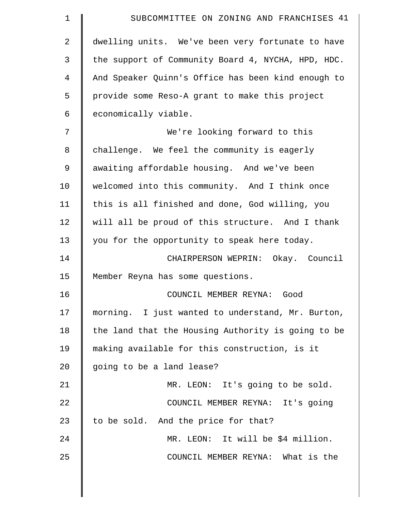| $\mathbf 1$    | SUBCOMMITTEE ON ZONING AND FRANCHISES 41           |
|----------------|----------------------------------------------------|
| $\overline{a}$ | dwelling units. We've been very fortunate to have  |
| 3              | the support of Community Board 4, NYCHA, HPD, HDC. |
| 4              | And Speaker Quinn's Office has been kind enough to |
| 5              | provide some Reso-A grant to make this project     |
| 6              | economically viable.                               |
| 7              | We're looking forward to this                      |
| 8              | challenge. We feel the community is eagerly        |
| 9              | awaiting affordable housing. And we've been        |
| 10             | welcomed into this community. And I think once     |
| 11             | this is all finished and done, God willing, you    |
| 12             | will all be proud of this structure. And I thank   |
| 13             | you for the opportunity to speak here today.       |
| 14             | CHAIRPERSON WEPRIN: Okay. Council                  |
| 15             | Member Reyna has some questions.                   |
| 16             | COUNCIL MEMBER REYNA: Good                         |
| 17             | morning. I just wanted to understand, Mr. Burton,  |
| 18             | the land that the Housing Authority is going to be |
| 19             | making available for this construction, is it      |
| 20             | going to be a land lease?                          |
| 21             | MR. LEON: It's going to be sold.                   |
| 22             | COUNCIL MEMBER REYNA: It's going                   |
| 23             | to be sold. And the price for that?                |
| 24             | MR. LEON: It will be \$4 million.                  |
| 25             | COUNCIL MEMBER REYNA: What is the                  |
|                |                                                    |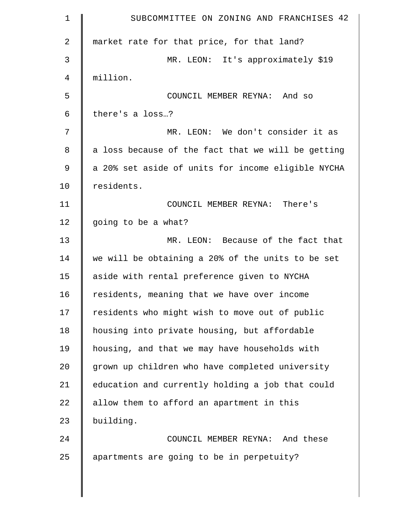| 1              | SUBCOMMITTEE ON ZONING AND FRANCHISES 42           |
|----------------|----------------------------------------------------|
| 2              | market rate for that price, for that land?         |
| 3              | MR. LEON: It's approximately \$19                  |
| $\overline{4}$ | million.                                           |
| 5              | COUNCIL MEMBER REYNA: And so                       |
| 6              | there's a loss?                                    |
| 7              | MR. LEON: We don't consider it as                  |
| 8              | a loss because of the fact that we will be getting |
| 9              | a 20% set aside of units for income eligible NYCHA |
| 10             | residents.                                         |
| 11             | COUNCIL MEMBER REYNA: There's                      |
| 12             | going to be a what?                                |
| 13             | MR. LEON: Because of the fact that                 |
| 14             | we will be obtaining a 20% of the units to be set  |
| 15             | aside with rental preference given to NYCHA        |
| 16             | residents, meaning that we have over income        |
| 17             | residents who might wish to move out of public     |
| 18             | housing into private housing, but affordable       |
| 19             | housing, and that we may have households with      |
| 20             | grown up children who have completed university    |
| 21             | education and currently holding a job that could   |
| 22             | allow them to afford an apartment in this          |
| 23             | building.                                          |
| 24             | COUNCIL MEMBER REYNA: And these                    |
| 25             | apartments are going to be in perpetuity?          |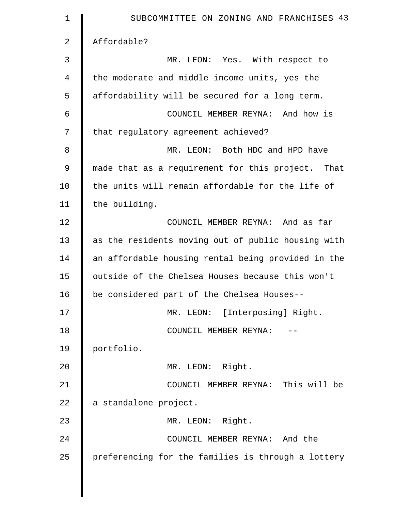| $\mathbf 1$    | SUBCOMMITTEE ON ZONING AND FRANCHISES 43           |
|----------------|----------------------------------------------------|
| $\overline{2}$ | Affordable?                                        |
| 3              | MR. LEON: Yes. With respect to                     |
| 4              | the moderate and middle income units, yes the      |
| 5              | affordability will be secured for a long term.     |
| 6              | COUNCIL MEMBER REYNA: And how is                   |
| 7              | that regulatory agreement achieved?                |
| 8              | MR. LEON: Both HDC and HPD have                    |
| 9              | made that as a requirement for this project. That  |
| 10             | the units will remain affordable for the life of   |
| 11             | the building.                                      |
| 12             | COUNCIL MEMBER REYNA: And as far                   |
| 13             | as the residents moving out of public housing with |
| 14             | an affordable housing rental being provided in the |
| 15             | outside of the Chelsea Houses because this won't   |
| 16             | be considered part of the Chelsea Houses--         |
| 17             | MR. LEON: [Interposing] Right.                     |
| 18             | COUNCIL MEMBER REYNA:                              |
| 19             | portfolio.                                         |
| 20             | MR. LEON: Right.                                   |
| 21             | COUNCIL MEMBER REYNA: This will be                 |
| 22             | a standalone project.                              |
| 23             | MR. LEON: Right.                                   |
| 24             | COUNCIL MEMBER REYNA: And the                      |
| 25             | preferencing for the families is through a lottery |
|                |                                                    |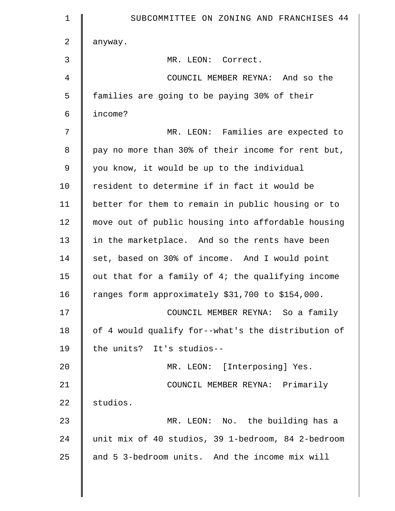| 1              | SUBCOMMITTEE ON ZONING AND FRANCHISES 44           |
|----------------|----------------------------------------------------|
| 2              | anyway.                                            |
| 3              | MR. LEON: Correct.                                 |
| $\overline{4}$ | COUNCIL MEMBER REYNA: And so the                   |
| 5              | families are going to be paying 30% of their       |
| 6              | income?                                            |
| 7              | MR. LEON: Families are expected to                 |
| 8              | pay no more than 30% of their income for rent but, |
| 9              | you know, it would be up to the individual         |
| 10             | resident to determine if in fact it would be       |
| 11             | better for them to remain in public housing or to  |
| 12             | move out of public housing into affordable housing |
| 13             | in the marketplace. And so the rents have been     |
| 14             | set, based on 30% of income. And I would point     |
| 15             | out that for a family of 4; the qualifying income  |
| 16             | ranges form approximately \$31,700 to \$154,000.   |
| 17             | COUNCIL MEMBER REYNA: So a family                  |
| 18             | of 4 would qualify for--what's the distribution of |
| 19             | the units? It's studios--                          |
| 20             | MR. LEON: [Interposing] Yes.                       |
| 21             | COUNCIL MEMBER REYNA: Primarily                    |
| 22             | studios.                                           |
| 23             | MR. LEON: No. the building has a                   |
| 24             | unit mix of 40 studios, 39 1-bedroom, 84 2-bedroom |
| 25             | and 5 3-bedroom units. And the income mix will     |
|                |                                                    |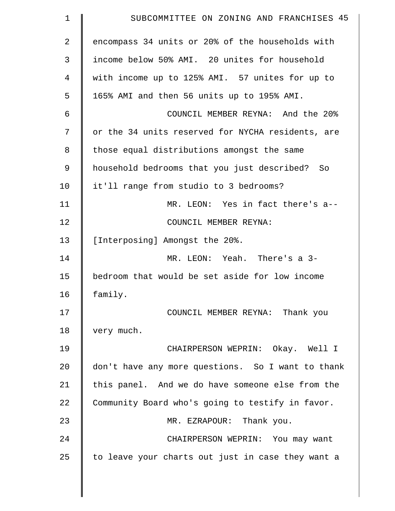| 1           | SUBCOMMITTEE ON ZONING AND FRANCHISES 45          |
|-------------|---------------------------------------------------|
| 2           | encompass 34 units or 20% of the households with  |
| 3           | income below 50% AMI. 20 unites for household     |
| 4           | with income up to 125% AMI. 57 unites for up to   |
| 5           | 165% AMI and then 56 units up to 195% AMI.        |
| 6           | COUNCIL MEMBER REYNA: And the 20%                 |
| 7           | or the 34 units reserved for NYCHA residents, are |
| 8           | those equal distributions amongst the same        |
| $\mathsf 9$ | household bedrooms that you just described? So    |
| 10          | it'll range from studio to 3 bedrooms?            |
| 11          | MR. LEON: Yes in fact there's a--                 |
| 12          | COUNCIL MEMBER REYNA:                             |
| 13          | [Interposing] Amongst the 20%.                    |
| 14          | MR. LEON: Yeah. There's a 3-                      |
| 15          | bedroom that would be set aside for low income    |
| 16          | family.                                           |
| 17          | COUNCIL MEMBER REYNA: Thank you                   |
| 18          | very much.                                        |
| 19          | CHAIRPERSON WEPRIN: Okay. Well I                  |
| 20          | don't have any more questions. So I want to thank |
| 21          | this panel. And we do have someone else from the  |
| 22          | Community Board who's going to testify in favor.  |
| 23          | MR. EZRAPOUR: Thank you.                          |
| 24          | CHAIRPERSON WEPRIN: You may want                  |
| 25          | to leave your charts out just in case they want a |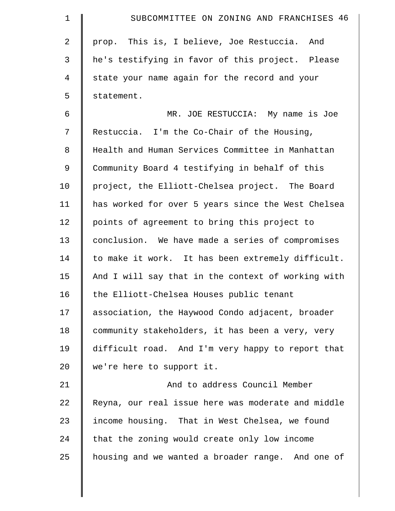| $\mathbf 1$    | SUBCOMMITTEE ON ZONING AND FRANCHISES 46           |
|----------------|----------------------------------------------------|
| $\overline{a}$ | prop. This is, I believe, Joe Restuccia. And       |
| 3              | he's testifying in favor of this project. Please   |
| 4              | state your name again for the record and your      |
| 5              | statement.                                         |
| 6              | MR. JOE RESTUCCIA: My name is Joe                  |
| 7              | Restuccia. I'm the Co-Chair of the Housing,        |
| 8              | Health and Human Services Committee in Manhattan   |
| 9              | Community Board 4 testifying in behalf of this     |
| 10             | project, the Elliott-Chelsea project. The Board    |
| 11             | has worked for over 5 years since the West Chelsea |
| 12             | points of agreement to bring this project to       |
| 13             | conclusion. We have made a series of compromises   |
| 14             | to make it work. It has been extremely difficult.  |
| 15             | And I will say that in the context of working with |
| 16             | the Elliott-Chelsea Houses public tenant           |
| 17             | association, the Haywood Condo adjacent, broader   |
| 18             | community stakeholders, it has been a very, very   |
| 19             | difficult road. And I'm very happy to report that  |
| 20             | we're here to support it.                          |
| 21             | And to address Council Member                      |
| 22             | Reyna, our real issue here was moderate and middle |
| 23             | income housing. That in West Chelsea, we found     |
| 24             | that the zoning would create only low income       |
| 25             | housing and we wanted a broader range. And one of  |
|                |                                                    |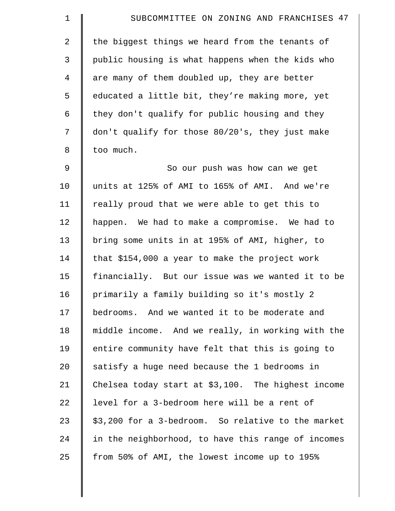| $\mathbf 1$    | SUBCOMMITTEE ON ZONING AND FRANCHISES 47             |
|----------------|------------------------------------------------------|
| $\overline{2}$ | the biggest things we heard from the tenants of      |
| 3              | public housing is what happens when the kids who     |
| 4              | are many of them doubled up, they are better         |
| 5              | educated a little bit, they're making more, yet      |
| 6              | they don't qualify for public housing and they       |
| 7              | don't qualify for those 80/20's, they just make      |
| 8              | too much.                                            |
| 9              | So our push was how can we get                       |
| 10             | units at 125% of AMI to 165% of AMI. And we're       |
| 11             | really proud that we were able to get this to        |
| 12             | happen. We had to make a compromise. We had to       |
| 13             | bring some units in at 195% of AMI, higher, to       |
| 14             | that \$154,000 a year to make the project work       |
| 15             | financially. But our issue was we wanted it to be    |
| 16             | primarily a family building so it's mostly 2         |
| 17             | bedrooms. And we wanted it to be moderate and        |
| 18             | middle income. And we really, in working with the    |
| 19             | entire community have felt that this is going to     |
| 20             | satisfy a huge need because the 1 bedrooms in        |
| 21             | Chelsea today start at $$3,100$ . The highest income |
| 22             | level for a 3-bedroom here will be a rent of         |
| 23             | \$3,200 for a 3-bedroom. So relative to the market   |
| 24             | in the neighborhood, to have this range of incomes   |
| 25             | from 50% of AMI, the lowest income up to 195%        |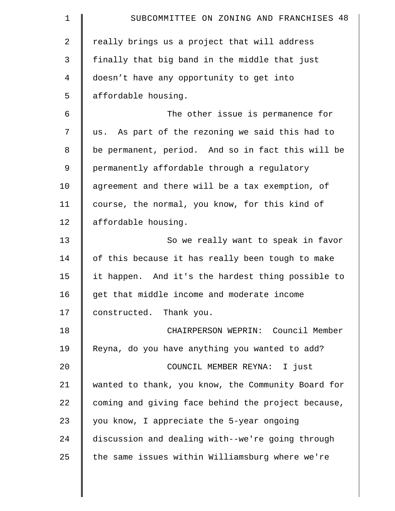| 1  | SUBCOMMITTEE ON ZONING AND FRANCHISES 48           |
|----|----------------------------------------------------|
| 2  | really brings us a project that will address       |
| 3  | finally that big band in the middle that just      |
| 4  | doesn't have any opportunity to get into           |
| 5  | affordable housing.                                |
| 6  | The other issue is permanence for                  |
| 7  | us. As part of the rezoning we said this had to    |
| 8  | be permanent, period. And so in fact this will be  |
| 9  | permanently affordable through a regulatory        |
| 10 | agreement and there will be a tax exemption, of    |
| 11 | course, the normal, you know, for this kind of     |
| 12 | affordable housing.                                |
| 13 | So we really want to speak in favor                |
| 14 | of this because it has really been tough to make   |
| 15 | it happen. And it's the hardest thing possible to  |
| 16 | get that middle income and moderate income         |
| 17 | constructed. Thank you.                            |
| 18 | CHAIRPERSON WEPRIN: Council Member                 |
| 19 | Reyna, do you have anything you wanted to add?     |
| 20 | COUNCIL MEMBER REYNA: I just                       |
| 21 | wanted to thank, you know, the Community Board for |
| 22 | coming and giving face behind the project because, |
| 23 | you know, I appreciate the 5-year ongoing          |
| 24 | discussion and dealing with--we're going through   |
| 25 | the same issues within Williamsburg where we're    |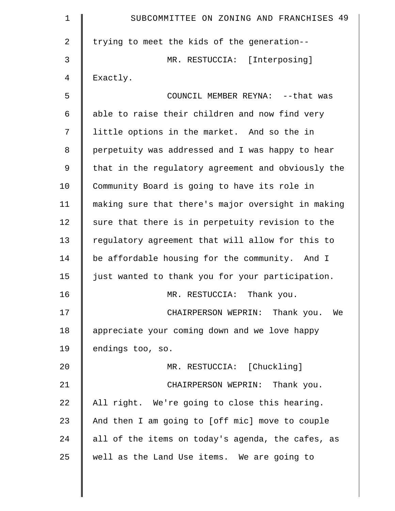| 1  | SUBCOMMITTEE ON ZONING AND FRANCHISES 49           |
|----|----------------------------------------------------|
| 2  | trying to meet the kids of the generation--        |
| 3  | MR. RESTUCCIA: [Interposing]                       |
| 4  | Exactly.                                           |
| 5  | COUNCIL MEMBER REYNA: -- that was                  |
| 6  | able to raise their children and now find very     |
| 7  | little options in the market. And so the in        |
| 8  | perpetuity was addressed and I was happy to hear   |
| 9  | that in the regulatory agreement and obviously the |
| 10 | Community Board is going to have its role in       |
| 11 | making sure that there's major oversight in making |
| 12 | sure that there is in perpetuity revision to the   |
| 13 | regulatory agreement that will allow for this to   |
| 14 | be affordable housing for the community. And I     |
| 15 | just wanted to thank you for your participation.   |
| 16 | Thank you.<br>MR. RESTUCCIA:                       |
| 17 | CHAIRPERSON WEPRIN: Thank you. We                  |
| 18 | appreciate your coming down and we love happy      |
| 19 | endings too, so.                                   |
| 20 | MR. RESTUCCIA: [Chuckling]                         |
| 21 | CHAIRPERSON WEPRIN: Thank you.                     |
| 22 | All right. We're going to close this hearing.      |
| 23 | And then I am going to [off mic] move to couple    |
| 24 | all of the items on today's agenda, the cafes, as  |
| 25 | well as the Land Use items. We are going to        |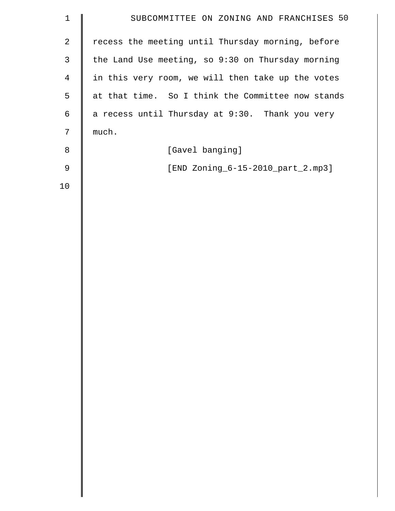| $\mathbf 1$    | SUBCOMMITTEE ON ZONING AND FRANCHISES 50          |
|----------------|---------------------------------------------------|
| $\overline{2}$ | recess the meeting until Thursday morning, before |
| $\mathsf{3}$   | the Land Use meeting, so 9:30 on Thursday morning |
| $\overline{4}$ | in this very room, we will then take up the votes |
| 5              | at that time. So I think the Committee now stands |
| 6              | a recess until Thursday at 9:30. Thank you very   |
| 7              | much.                                             |
| 8              | [Gavel banging]                                   |
| $\mathsf 9$    | [END Zoning_6-15-2010_part_2.mp3]                 |
| 10             |                                                   |
|                |                                                   |
|                |                                                   |
|                |                                                   |
|                |                                                   |
|                |                                                   |
|                |                                                   |
|                |                                                   |
|                |                                                   |
|                |                                                   |
|                |                                                   |
|                |                                                   |
|                |                                                   |
|                |                                                   |
|                |                                                   |
|                |                                                   |
|                |                                                   |
|                |                                                   |